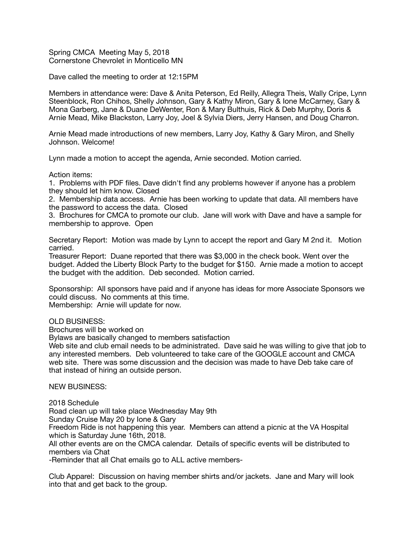Spring CMCA Meeting May 5, 2018 Cornerstone Chevrolet in Monticello MN

Dave called the meeting to order at 12:15PM

Members in attendance were: Dave & Anita Peterson, Ed Reilly, Allegra Theis, Wally Cripe, Lynn Steenblock, Ron Chihos, Shelly Johnson, Gary & Kathy Miron, Gary & Ione McCarney, Gary & Mona Garberg, Jane & Duane DeWenter, Ron & Mary Bulthuis, Rick & Deb Murphy, Doris & Arnie Mead, Mike Blackston, Larry Joy, Joel & Sylvia Diers, Jerry Hansen, and Doug Charron.

Arnie Mead made introductions of new members, Larry Joy, Kathy & Gary Miron, and Shelly Johnson. Welcome!

Lynn made a motion to accept the agenda, Arnie seconded. Motion carried.

Action items:

1. Problems with PDF files. Dave didn't find any problems however if anyone has a problem they should let him know. Closed

2. Membership data access. Arnie has been working to update that data. All members have the password to access the data. Closed

3. Brochures for CMCA to promote our club. Jane will work with Dave and have a sample for membership to approve. Open

Secretary Report: Motion was made by Lynn to accept the report and Gary M 2nd it. Motion carried.

Treasurer Report: Duane reported that there was \$3,000 in the check book. Went over the budget. Added the Liberty Block Party to the budget for \$150. Arnie made a motion to accept the budget with the addition. Deb seconded. Motion carried.

Sponsorship: All sponsors have paid and if anyone has ideas for more Associate Sponsors we could discuss. No comments at this time. Membership: Arnie will update for now.

OLD BUSINESS:

Brochures will be worked on

Bylaws are basically changed to members satisfaction

Web site and club email needs to be administrated. Dave said he was willing to give that job to any interested members. Deb volunteered to take care of the GOOGLE account and CMCA web site. There was some discussion and the decision was made to have Deb take care of that instead of hiring an outside person.

NEW BUSINESS:

2018 Schedule

Road clean up will take place Wednesday May 9th

Sunday Cruise May 20 by Ione & Gary

Freedom Ride is not happening this year. Members can attend a picnic at the VA Hospital which is Saturday June 16th, 2018.

All other events are on the CMCA calendar. Details of specific events will be distributed to members via Chat

-Reminder that all Chat emails go to ALL active members-

Club Apparel: Discussion on having member shirts and/or jackets. Jane and Mary will look into that and get back to the group.